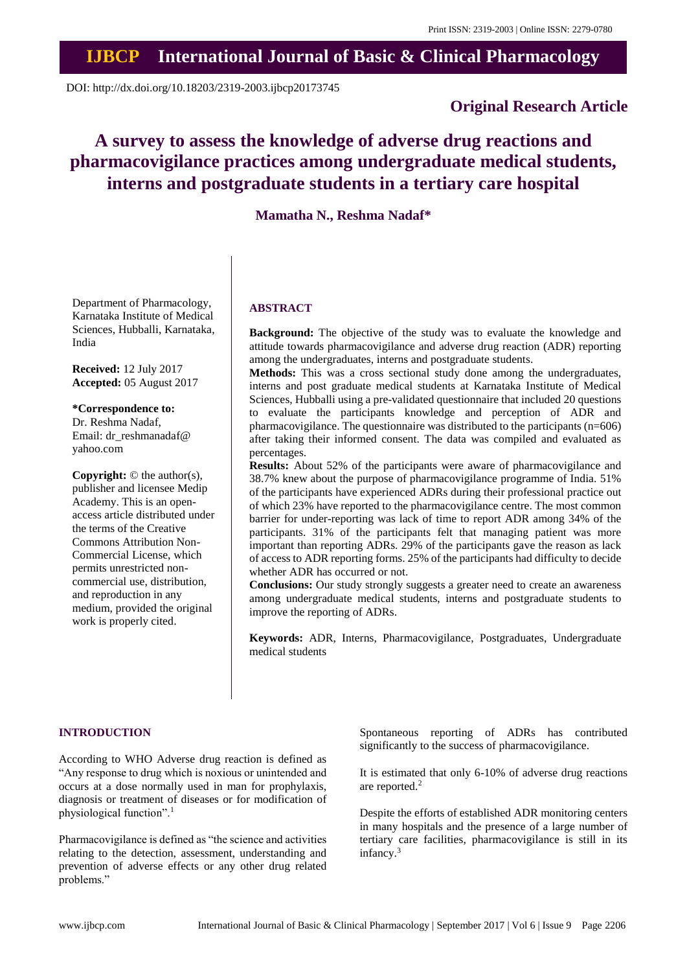## **IJBCP International Journal of Basic & Clinical Pharmacology**

DOI: http://dx.doi.org/10.18203/2319-2003.ijbcp20173745

## **Original Research Article**

# **A survey to assess the knowledge of adverse drug reactions and pharmacovigilance practices among undergraduate medical students, interns and postgraduate students in a tertiary care hospital**

**Mamatha N., Reshma Nadaf\***

Department of Pharmacology, Karnataka Institute of Medical Sciences, Hubballi, Karnataka, India

**Received:** 12 July 2017 **Accepted:** 05 August 2017

**\*Correspondence to:**

Dr. Reshma Nadaf, Email: dr\_reshmanadaf@ yahoo.com

**Copyright:** © the author(s), publisher and licensee Medip Academy. This is an openaccess article distributed under the terms of the Creative Commons Attribution Non-Commercial License, which permits unrestricted noncommercial use, distribution, and reproduction in any medium, provided the original work is properly cited.

#### **ABSTRACT**

**Background:** The objective of the study was to evaluate the knowledge and attitude towards pharmacovigilance and adverse drug reaction (ADR) reporting among the undergraduates, interns and postgraduate students.

**Methods:** This was a cross sectional study done among the undergraduates, interns and post graduate medical students at Karnataka Institute of Medical Sciences, Hubballi using a pre-validated questionnaire that included 20 questions to evaluate the participants knowledge and perception of ADR and pharmacovigilance. The questionnaire was distributed to the participants (n=606) after taking their informed consent. The data was compiled and evaluated as percentages.

**Results:** About 52% of the participants were aware of pharmacovigilance and 38.7% knew about the purpose of pharmacovigilance programme of India. 51% of the participants have experienced ADRs during their professional practice out of which 23% have reported to the pharmacovigilance centre. The most common barrier for under-reporting was lack of time to report ADR among 34% of the participants. 31% of the participants felt that managing patient was more important than reporting ADRs. 29% of the participants gave the reason as lack of access to ADR reporting forms. 25% of the participants had difficulty to decide whether ADR has occurred or not.

**Conclusions:** Our study strongly suggests a greater need to create an awareness among undergraduate medical students, interns and postgraduate students to improve the reporting of ADRs.

**Keywords:** ADR, Interns, Pharmacovigilance, Postgraduates, Undergraduate medical students

#### **INTRODUCTION**

According to WHO Adverse drug reaction is defined as "Any response to drug which is noxious or unintended and occurs at a dose normally used in man for prophylaxis, diagnosis or treatment of diseases or for modification of physiological function".<sup>1</sup>

Pharmacovigilance is defined as "the science and activities relating to the detection, assessment, understanding and prevention of adverse effects or any other drug related problems."

Spontaneous reporting of ADRs has contributed significantly to the success of pharmacovigilance.

It is estimated that only 6-10% of adverse drug reactions are reported.<sup>2</sup>

Despite the efforts of established ADR monitoring centers in many hospitals and the presence of a large number of tertiary care facilities, pharmacovigilance is still in its infancy.<sup>3</sup>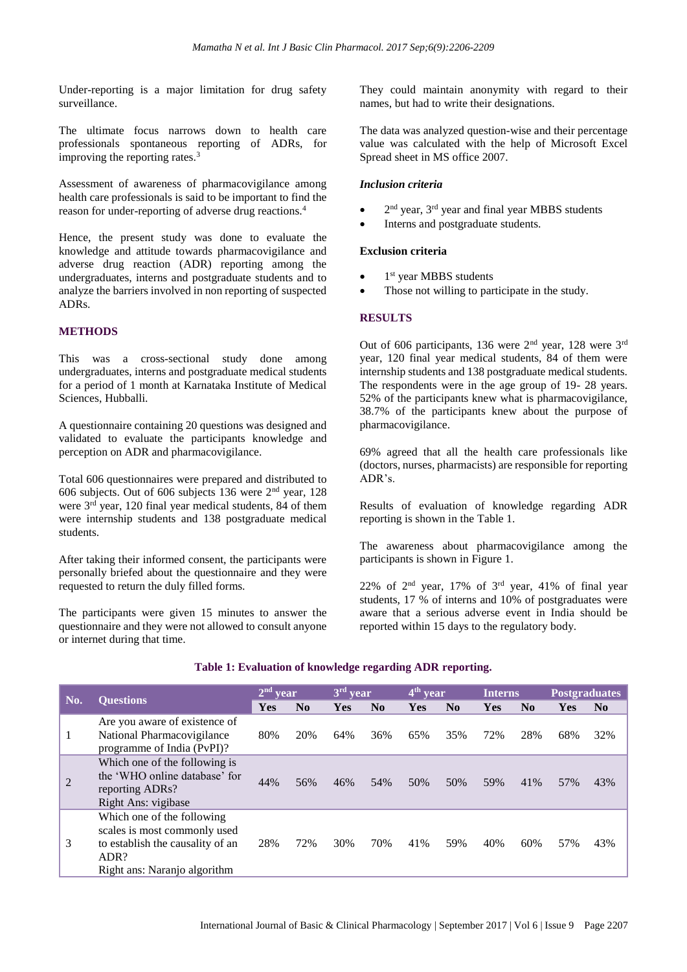Under-reporting is a major limitation for drug safety surveillance.

The ultimate focus narrows down to health care professionals spontaneous reporting of ADRs, for improving the reporting rates.<sup>3</sup>

Assessment of awareness of pharmacovigilance among health care professionals is said to be important to find the reason for under-reporting of adverse drug reactions.<sup>4</sup>

Hence, the present study was done to evaluate the knowledge and attitude towards pharmacovigilance and adverse drug reaction (ADR) reporting among the undergraduates, interns and postgraduate students and to analyze the barriers involved in non reporting of suspected ADRs.

### **METHODS**

This was a cross-sectional study done among undergraduates, interns and postgraduate medical students for a period of 1 month at Karnataka Institute of Medical Sciences, Hubballi.

A questionnaire containing 20 questions was designed and validated to evaluate the participants knowledge and perception on ADR and pharmacovigilance.

Total 606 questionnaires were prepared and distributed to 606 subjects. Out of 606 subjects 136 were 2nd year, 128 were 3<sup>rd</sup> year, 120 final year medical students, 84 of them were internship students and 138 postgraduate medical students.

After taking their informed consent, the participants were personally briefed about the questionnaire and they were requested to return the duly filled forms.

The participants were given 15 minutes to answer the questionnaire and they were not allowed to consult anyone or internet during that time.

They could maintain anonymity with regard to their names, but had to write their designations.

The data was analyzed question-wise and their percentage value was calculated with the help of Microsoft Excel Spread sheet in MS office 2007.

#### *Inclusion criteria*

- $\bullet$  2<sup>nd</sup> year, 3<sup>rd</sup> year and final year MBBS students
- Interns and postgraduate students.

#### **Exclusion criteria**

- $\bullet$  1<sup>st</sup> year MBBS students
- Those not willing to participate in the study.

#### **RESULTS**

Out of 606 participants, 136 were 2nd year, 128 were 3rd year, 120 final year medical students, 84 of them were internship students and 138 postgraduate medical students. The respondents were in the age group of 19- 28 years. 52% of the participants knew what is pharmacovigilance, 38.7% of the participants knew about the purpose of pharmacovigilance.

69% agreed that all the health care professionals like (doctors, nurses, pharmacists) are responsible for reporting ADR's.

Results of evaluation of knowledge regarding ADR reporting is shown in the Table 1.

The awareness about pharmacovigilance among the participants is shown in Figure 1.

22% of  $2^{nd}$  year, 17% of  $3^{rd}$  year, 41% of final year students, 17 % of interns and 10% of postgraduates were aware that a serious adverse event in India should be reported within 15 days to the regulatory body.

| No. | <b>Ouestions</b>                                                                                                                       | 2 <sup>nd</sup><br>vear |                | $3rd$ year |                        | $4th$ year |                | <b>Interns</b> |                        | <b>Postgraduates</b> |                |
|-----|----------------------------------------------------------------------------------------------------------------------------------------|-------------------------|----------------|------------|------------------------|------------|----------------|----------------|------------------------|----------------------|----------------|
|     |                                                                                                                                        | Yes                     | N <sub>0</sub> | Yes        | $\mathbf{N}\mathbf{0}$ | Yes        | N <sub>0</sub> | Yes            | $\mathbf{N}\mathbf{0}$ | Yes                  | N <sub>0</sub> |
|     | Are you aware of existence of<br>National Pharmacovigilance<br>programme of India (PvPI)?                                              | 80%                     | 20%            | 64%        | 36%                    | 65%        | 35%            | 72%            | 28%                    | 68%                  | 32%            |
| 2   | Which one of the following is<br>the 'WHO online database' for<br>reporting ADRs?<br>Right Ans: vigibase                               | 44%                     | 56%            | 46%        | 54%                    | 50%        | 50%            | 59%            | 41%                    | 57%                  | 43%            |
| 3   | Which one of the following<br>scales is most commonly used<br>to establish the causality of an<br>ADR?<br>Right ans: Naranjo algorithm | 28%                     | 72%            | 30%        | 70%                    | 41%        | 59%            | 40%            | 60%                    | 57%                  | 43%            |

#### **Table 1: Evaluation of knowledge regarding ADR reporting.**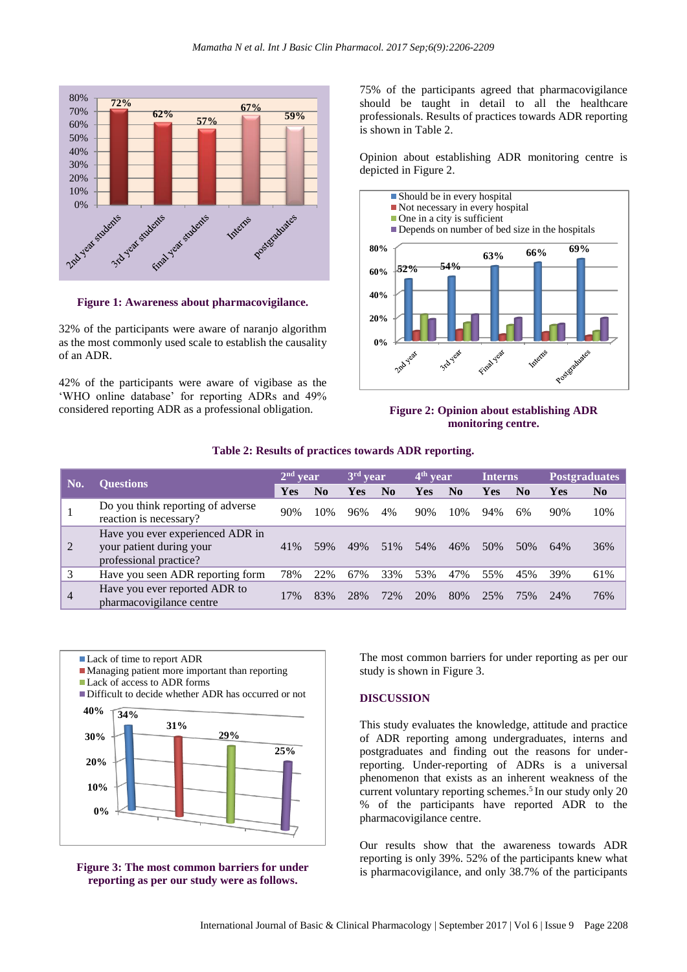

**Figure 1: Awareness about pharmacovigilance.**

32% of the participants were aware of naranjo algorithm as the most commonly used scale to establish the causality of an ADR.

42% of the participants were aware of vigibase as the 'WHO online database' for reporting ADRs and 49% considered reporting ADR as a professional obligation.

75% of the participants agreed that pharmacovigilance should be taught in detail to all the healthcare professionals. Results of practices towards ADR reporting is shown in Table 2.

Opinion about establishing ADR monitoring centre is depicted in Figure 2.



#### **Figure 2: Opinion about establishing ADR monitoring centre.**

**Table 2: Results of practices towards ADR reporting.**

| No.            | <b>Ouestions</b>                                                                       | $2nd$ year |                | $3rd$ year |                | $4th$ year |                | Interns.   |           | <b>Postgraduates</b> |                |
|----------------|----------------------------------------------------------------------------------------|------------|----------------|------------|----------------|------------|----------------|------------|-----------|----------------------|----------------|
|                |                                                                                        | <b>Yes</b> | N <sub>0</sub> | Yes        | N <sub>0</sub> | <b>Yes</b> | N <sub>0</sub> | <b>Yes</b> | $\bf N_0$ | Yes                  | N <sub>0</sub> |
|                | Do you think reporting of adverse<br>reaction is necessary?                            | 90%        | 10%            | 96%        | 4%             | 90%        | 10%            | 94%        | 6%        | 90%                  | 10%            |
| 2              | Have you ever experienced ADR in<br>your patient during your<br>professional practice? | 41%        | 59%            | 49%        | 51%            | 54%        | 46%            | 50%        | 50%       | 64%                  | 36%            |
| 3              | Have you seen ADR reporting form                                                       | 78%        | 22%            | 67%        | 33%            | 53%        | 47%            | 55%        | 45%       | 39%                  | 61%            |
| $\overline{4}$ | Have you ever reported ADR to<br>pharmacovigilance centre                              | 17%        | 83%            | 28%        | 72%            | 20%        | 80%            | 25%        | 75%       | 24%                  | 76%            |





The most common barriers for under reporting as per our study is shown in Figure 3.

#### **DISCUSSION**

This study evaluates the knowledge, attitude and practice of ADR reporting among undergraduates, interns and postgraduates and finding out the reasons for underreporting. Under-reporting of ADRs is a universal phenomenon that exists as an inherent weakness of the current voluntary reporting schemes. 5 In our study only 20 % of the participants have reported ADR to the pharmacovigilance centre.

Our results show that the awareness towards ADR reporting is only 39%. 52% of the participants knew what is pharmacovigilance, and only 38.7% of the participants